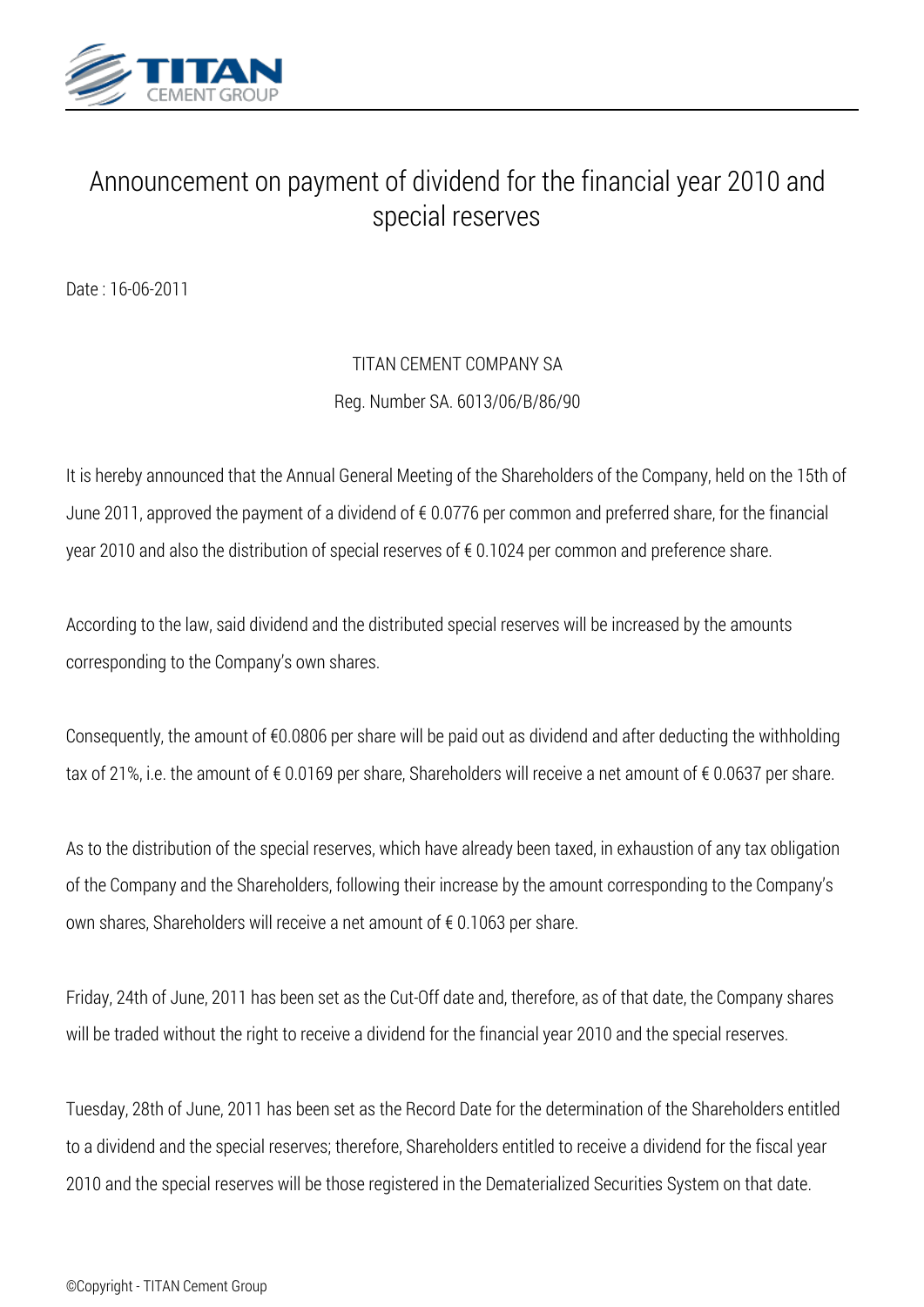

## *Announcement on payment of dividend for the financial year 2010 and special reserves*

*Date : 16-06-2011*

## *TITAN CEMENT COMPANY SA Reg. Number SA. 6013/06/Β/86/90*

*It is hereby announced that the Annual General Meeting of the Shareholders of the Company, held on the 15th of June 2011, approved the payment of a dividend of € 0.0776 per common and preferred share, for the financial year 2010 and also the distribution of special reserves of € 0.1024 per common and preference share.*

*According to the law, said dividend and the distributed special reserves will be increased by the amounts corresponding to the Company's own shares.*

*Consequently, the amount of €0.0806 per share will be paid out as dividend and after deducting the withholding tax of 21%, i.e. the amount of € 0.0169 per share, Shareholders will receive a net amount of € 0.0637 per share.*

*As to the distribution of the special reserves, which have already been taxed, in exhaustion of any tax obligation of the Company and the Shareholders, following their increase by the amount corresponding to the Company's own shares, Shareholders will receive a net amount of € 0.1063 per share.*

*Friday, 24th of June, 2011 has been set as the Cut-Off date and, therefore, as of that date, the Company shares will be traded without the right to receive a dividend for the financial year 2010 and the special reserves.*

*Tuesday, 28th of June, 2011 has been set as the Record Date for the determination of the Shareholders entitled to a dividend and the special reserves; therefore, Shareholders entitled to receive a dividend for the fiscal year 2010 and the special reserves will be those registered in the Dematerialized Securities System on that date.*